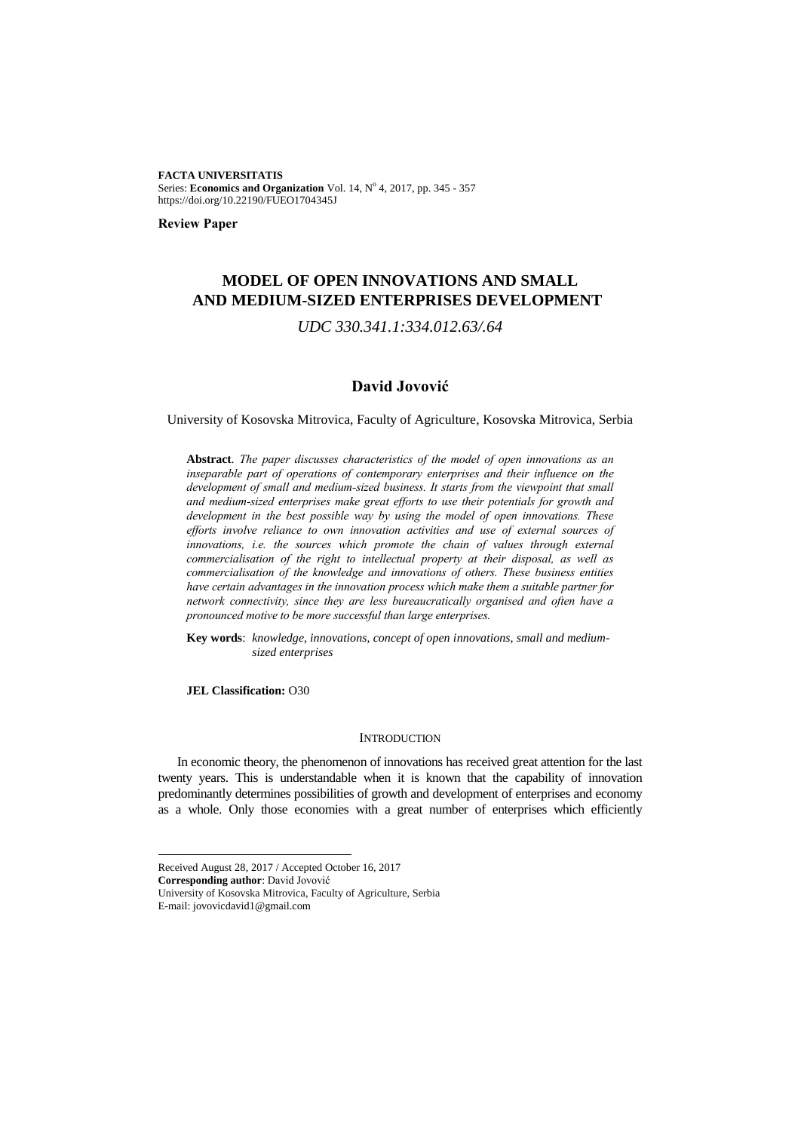**FACTA UNIVERSITATIS** Series: Economics and Organization Vol. 14, Nº 4, 2017, pp. 345 - 357 https://doi.org/10.22190/FUEO1704345J

**Review Paper**

# **MODEL OF OPEN INNOVATIONS AND SMALL AND MEDIUM-SIZED ENTERPRISES DEVELOPMENT<sup>1</sup>**

*UDC 330.341.1:334.012.63/.64*

## **David Jovović**

University of Kosovska Mitrovica, Faculty of Agriculture, Kosovska Mitrovica, Serbia

**Abstract**. *The paper discusses characteristics of the model of open innovations as an inseparable part of operations of contemporary enterprises and their influence on the development of small and medium-sized business. It starts from the viewpoint that small and medium-sized enterprises make great efforts to use their potentials for growth and development in the best possible way by using the model of open innovations. These efforts involve reliance to own innovation activities and use of external sources of innovations, i.e. the sources which promote the chain of values through external commercialisation of the right to intellectual property at their disposal, as well as commercialisation of the knowledge and innovations of others. These business entities have certain advantages in the innovation process which make them a suitable partner for network connectivity, since they are less bureaucratically organised and often have a pronounced motive to be more successful than large enterprises.*

**Key words**: *knowledge, innovations, concept of open innovations, small and mediumsized enterprises*

**JEL Classification:** O30

## **INTRODUCTION**

In economic theory, the phenomenon of innovations has received great attention for the last twenty years. This is understandable when it is known that the capability of innovation predominantly determines possibilities of growth and development of enterprises and economy as a whole. Only those economies with a great number of enterprises which efficiently

**Corresponding author**: David Jovović

l

Received August 28, 2017 / Accepted October 16, 2017

University of Kosovska Mitrovica, Faculty of Agriculture, Serbia E-mail: jovovicdavid1@gmail.com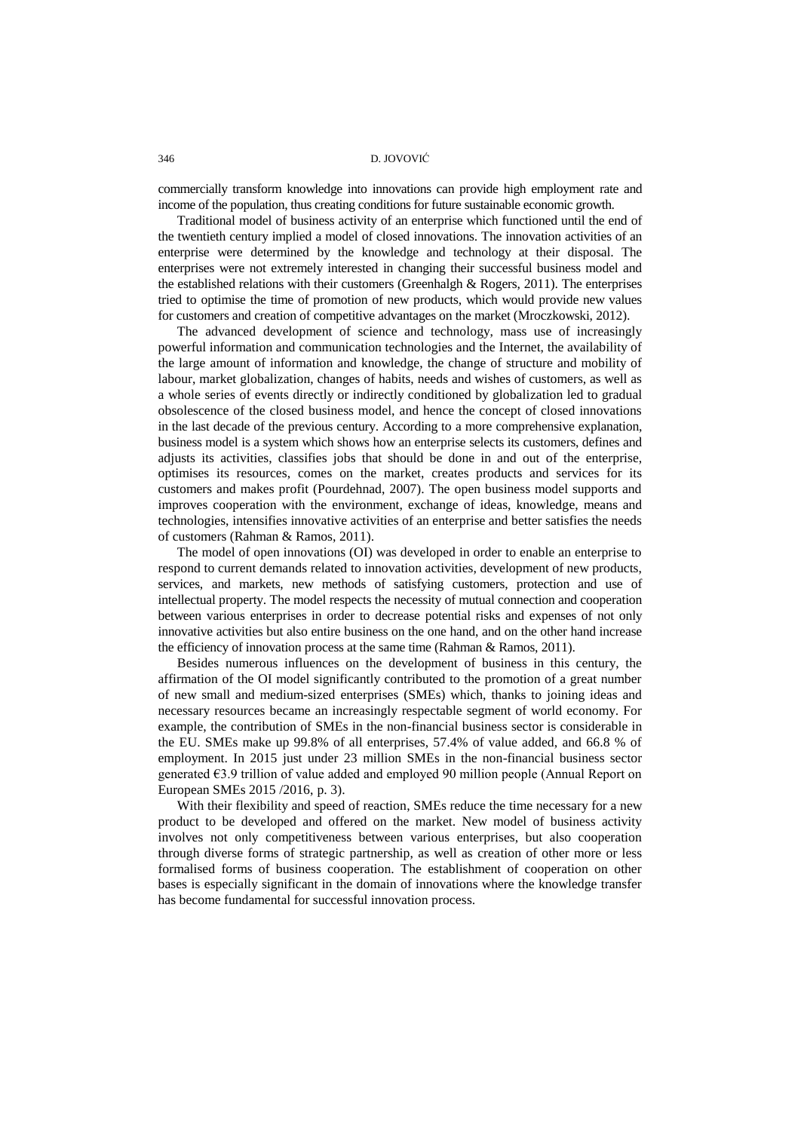346 D. JOVOVIĆ

commercially transform knowledge into innovations can provide high employment rate and income of the population, thus creating conditions for future sustainable economic growth.

Traditional model of business activity of an enterprise which functioned until the end of the twentieth century implied a model of closed innovations. The innovation activities of an enterprise were determined by the knowledge and technology at their disposal. The enterprises were not extremely interested in changing their successful business model and the established relations with their customers (Greenhalgh  $\&$  Rogers, 2011). The enterprises tried to optimise the time of promotion of new products, which would provide new values for customers and creation of competitive advantages on the market (Mroczkowski, 2012).

The advanced development of science and technology, mass use of increasingly powerful information and communication technologies and the Internet, the availability of the large amount of information and knowledge, the change of structure and mobility of labour, market globalization, changes of habits, needs and wishes of customers, as well as a whole series of events directly or indirectly conditioned by globalization led to gradual obsolescence of the closed business model, and hence the concept of closed innovations in the last decade of the previous century. According to a more comprehensive explanation, business model is a system which shows how an enterprise selects its customers, defines and adjusts its activities, classifies jobs that should be done in and out of the enterprise, optimises its resources, comes on the market, creates products and services for its customers and makes profit (Pourdehnad, 2007). The open business model supports and improves cooperation with the environment, exchange of ideas, knowledge, means and technologies, intensifies innovative activities of an enterprise and better satisfies the needs of customers (Rahman & Ramos, 2011).

The model of open innovations (OI) was developed in order to enable an enterprise to respond to current demands related to innovation activities, development of new products, services, and markets, new methods of satisfying customers, protection and use of intellectual property. The model respects the necessity of mutual connection and cooperation between various enterprises in order to decrease potential risks and expenses of not only innovative activities but also entire business on the one hand, and on the other hand increase the efficiency of innovation process at the same time (Rahman & Ramos, 2011).

Besides numerous influences on the development of business in this century, the affirmation of the OI model significantly contributed to the promotion of a great number of new small and medium-sized enterprises (SMEs) which, thanks to joining ideas and necessary resources became an increasingly respectable segment of world economy. For example, the contribution of SMEs in the non-financial business sector is considerable in the EU. SMEs make up 99.8% of all enterprises, 57.4% of value added, and 66.8 % of employment. In 2015 just under 23 million SMEs in the non-financial business sector generated €3.9 trillion of value added and employed 90 million people (Annual Report on European SMEs 2015 /2016, p. 3).

With their flexibility and speed of reaction, SMEs reduce the time necessary for a new product to be developed and offered on the market. New model of business activity involves not only competitiveness between various enterprises, but also cooperation through diverse forms of strategic partnership, as well as creation of other more or less formalised forms of business cooperation. The establishment of cooperation on other bases is especially significant in the domain of innovations where the knowledge transfer has become fundamental for successful innovation process.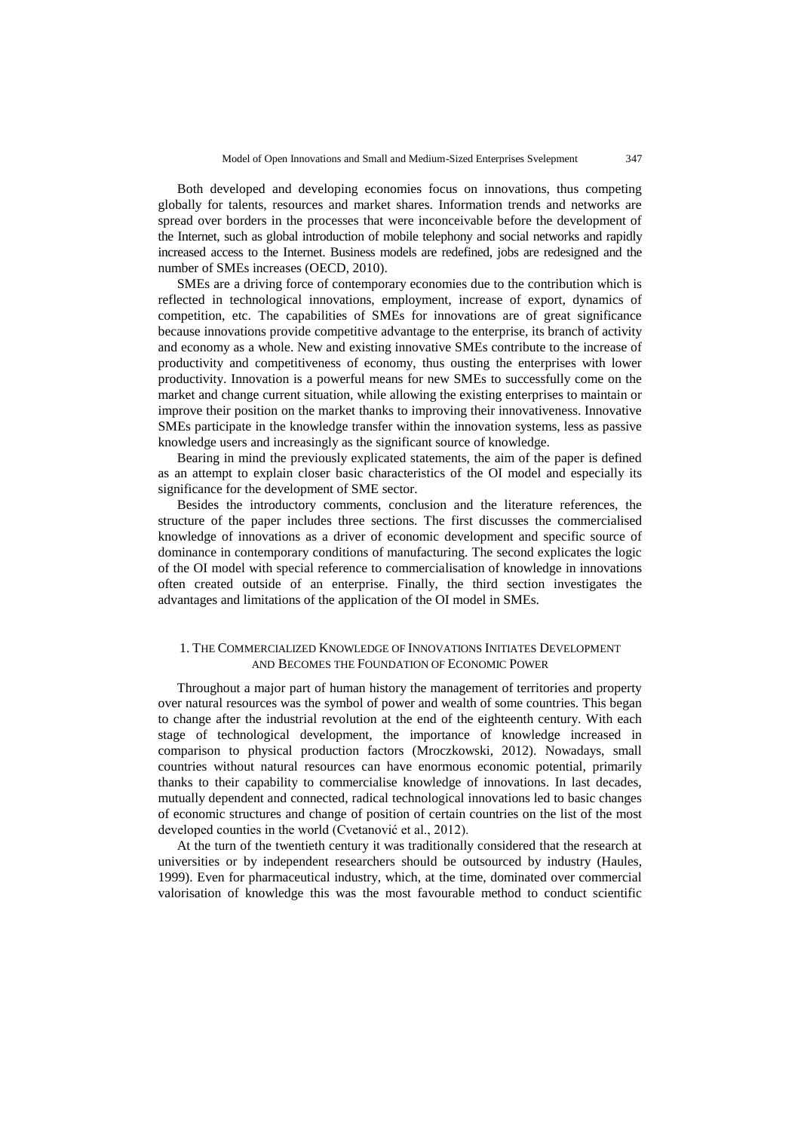Both developed and developing economies focus on innovations, thus competing globally for talents, resources and market shares. Information trends and networks are spread over borders in the processes that were inconceivable before the development of the Internet, such as global introduction of mobile telephony and social networks and rapidly increased access to the Internet. Business models are redefined, jobs are redesigned and the number of SMEs increases (OECD, 2010).

SMEs are a driving force of contemporary economies due to the contribution which is reflected in technological innovations, employment, increase of export, dynamics of competition, etc. The capabilities of SMEs for innovations are of great significance because innovations provide competitive advantage to the enterprise, its branch of activity and economy as a whole. New and existing innovative SMEs contribute to the increase of productivity and competitiveness of economy, thus ousting the enterprises with lower productivity. Innovation is a powerful means for new SMEs to successfully come on the market and change current situation, while allowing the existing enterprises to maintain or improve their position on the market thanks to improving their innovativeness. Innovative SMEs participate in the knowledge transfer within the innovation systems, less as passive knowledge users and increasingly as the significant source of knowledge.

Bearing in mind the previously explicated statements, the aim of the paper is defined as an attempt to explain closer basic characteristics of the OI model and especially its significance for the development of SME sector.

Besides the introductory comments, conclusion and the literature references, the structure of the paper includes three sections. The first discusses the commercialised knowledge of innovations as a driver of economic development and specific source of dominance in contemporary conditions of manufacturing. The second explicates the logic of the OI model with special reference to commercialisation of knowledge in innovations often created outside of an enterprise. Finally, the third section investigates the advantages and limitations of the application of the OI model in SMEs.

## 1. THE COMMERCIALIZED KNOWLEDGE OF INNOVATIONS INITIATES DEVELOPMENT AND BECOMES THE FOUNDATION OF ECONOMIC POWER

Throughout a major part of human history the management of territories and property over natural resources was the symbol of power and wealth of some countries. This began to change after the industrial revolution at the end of the eighteenth century. With each stage of technological development, the importance of knowledge increased in comparison to physical production factors (Mroczkowski, 2012). Nowadays, small countries without natural resources can have enormous economic potential, primarily thanks to their capability to commercialise knowledge of innovations. In last decades, mutually dependent and connected, radical technological innovations led to basic changes of economic structures and change of position of certain countries on the list of the most developed counties in the world (Cvetanović et al., 2012).

At the turn of the twentieth century it was traditionally considered that the research at universities or by independent researchers should be outsourced by industry (Haules, 1999). Even for pharmaceutical industry, which, at the time, dominated over commercial valorisation of knowledge this was the most favourable method to conduct scientific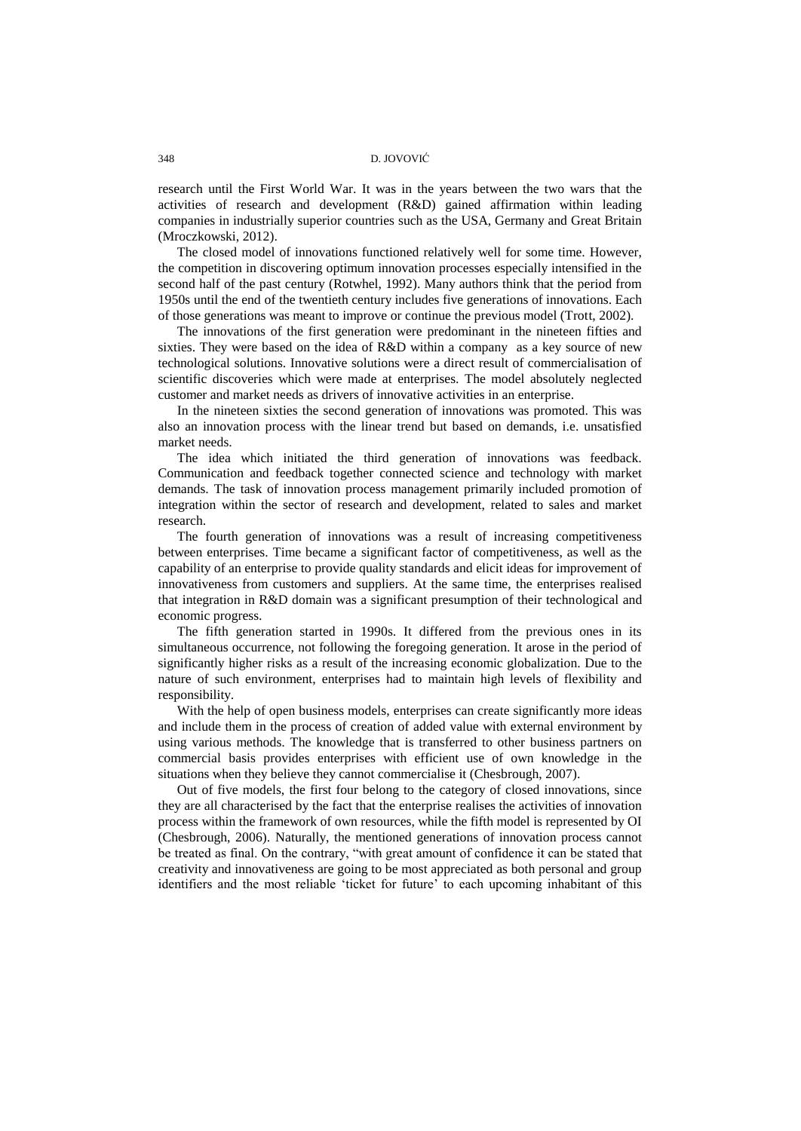research until the First World War. It was in the years between the two wars that the activities of research and development (R&D) gained affirmation within leading companies in industrially superior countries such as the USA, Germany and Great Britain (Mroczkowski, 2012).

The closed model of innovations functioned relatively well for some time. However, the competition in discovering optimum innovation processes especially intensified in the second half of the past century (Rotwhel, 1992). Many authors think that the period from 1950s until the end of the twentieth century includes five generations of innovations. Each of those generations was meant to improve or continue the previous model (Trott, 2002).

The innovations of the first generation were predominant in the nineteen fifties and sixties. They were based on the idea of R&D within a company as a key source of new technological solutions. Innovative solutions were a direct result of commercialisation of scientific discoveries which were made at enterprises. The model absolutely neglected customer and market needs as drivers of innovative activities in an enterprise.

In the nineteen sixties the second generation of innovations was promoted. This was also an innovation process with the linear trend but based on demands, i.e. unsatisfied market needs.

The idea which initiated the third generation of innovations was feedback. Communication and feedback together connected science and technology with market demands. The task of innovation process management primarily included promotion of integration within the sector of research and development, related to sales and market research.

The fourth generation of innovations was a result of increasing competitiveness between enterprises. Time became a significant factor of competitiveness, as well as the capability of an enterprise to provide quality standards and elicit ideas for improvement of innovativeness from customers and suppliers. At the same time, the enterprises realised that integration in R&D domain was a significant presumption of their technological and economic progress.

The fifth generation started in 1990s. It differed from the previous ones in its simultaneous occurrence, not following the foregoing generation. It arose in the period of significantly higher risks as a result of the increasing economic globalization. Due to the nature of such environment, enterprises had to maintain high levels of flexibility and responsibility.

With the help of open business models, enterprises can create significantly more ideas and include them in the process of creation of added value with external environment by using various methods. The knowledge that is transferred to other business partners on commercial basis provides enterprises with efficient use of own knowledge in the situations when they believe they cannot commercialise it (Chesbrough, 2007).

Out of five models, the first four belong to the category of closed innovations, since they are all characterised by the fact that the enterprise realises the activities of innovation process within the framework of own resources, while the fifth model is represented by OI (Chesbrough, 2006). Naturally, the mentioned generations of innovation process cannot be treated as final. On the contrary, "with great amount of confidence it can be stated that creativity and innovativeness are going to be most appreciated as both personal and group identifiers and the most reliable "ticket for future" to each upcoming inhabitant of this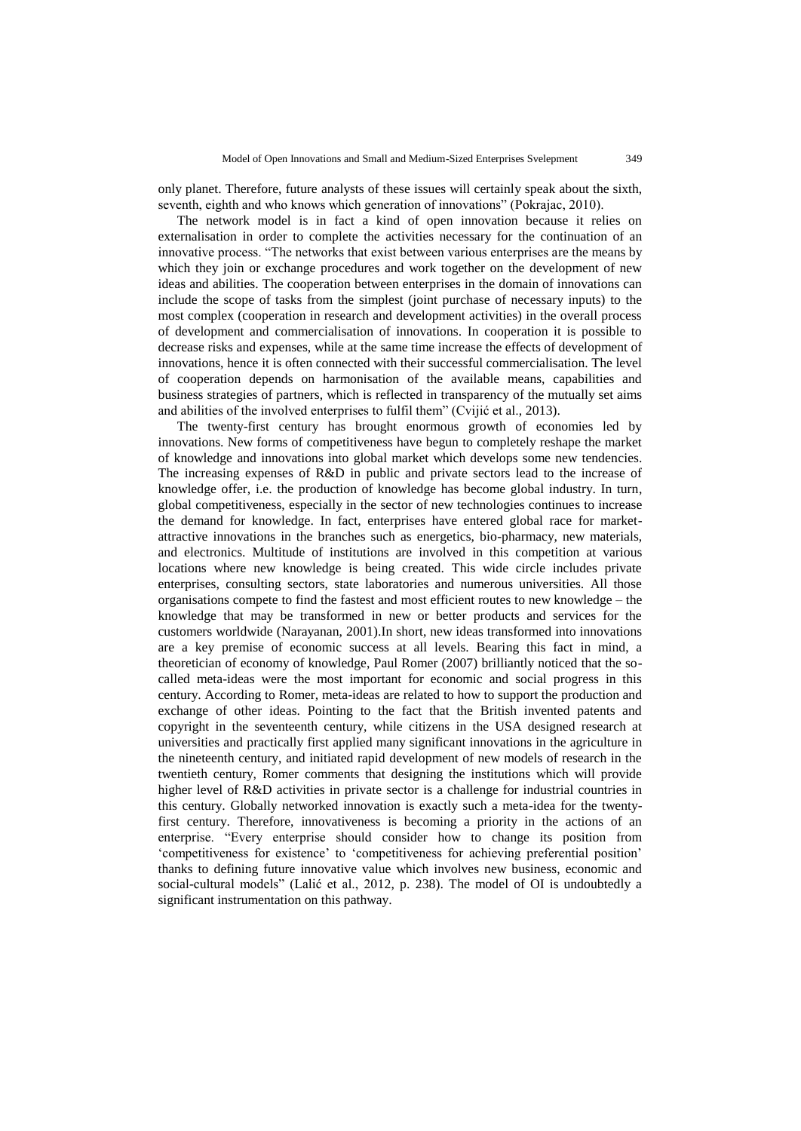only planet. Therefore, future analysts of these issues will certainly speak about the sixth, seventh, eighth and who knows which generation of innovations" (Pokrajac, 2010).

The network model is in fact a kind of open innovation because it relies on externalisation in order to complete the activities necessary for the continuation of an innovative process. "The networks that exist between various enterprises are the means by which they join or exchange procedures and work together on the development of new ideas and abilities. The cooperation between enterprises in the domain of innovations can include the scope of tasks from the simplest (joint purchase of necessary inputs) to the most complex (cooperation in research and development activities) in the overall process of development and commercialisation of innovations. In cooperation it is possible to decrease risks and expenses, while at the same time increase the effects of development of innovations, hence it is often connected with their successful commercialisation. The level of cooperation depends on harmonisation of the available means, capabilities and business strategies of partners, which is reflected in transparency of the mutually set aims and abilities of the involved enterprises to fulfil them" (Cvijić et al., 2013).

The twenty-first century has brought enormous growth of economies led by innovations. New forms of competitiveness have begun to completely reshape the market of knowledge and innovations into global market which develops some new tendencies. The increasing expenses of R&D in public and private sectors lead to the increase of knowledge offer, i.e. the production of knowledge has become global industry. In turn, global competitiveness, especially in the sector of new technologies continues to increase the demand for knowledge. In fact, enterprises have entered global race for marketattractive innovations in the branches such as energetics, bio-pharmacy, new materials, and electronics. Multitude of institutions are involved in this competition at various locations where new knowledge is being created. This wide circle includes private enterprises, consulting sectors, state laboratories and numerous universities. All those organisations compete to find the fastest and most efficient routes to new knowledge – the knowledge that may be transformed in new or better products and services for the customers worldwide (Narayanan, 2001).In short, new ideas transformed into innovations are a key premise of economic success at all levels. Bearing this fact in mind, a theoretician of economy of knowledge, Paul Romer (2007) brilliantly noticed that the socalled meta-ideas were the most important for economic and social progress in this century. According to Romer, meta-ideas are related to how to support the production and exchange of other ideas. Pointing to the fact that the British invented patents and copyright in the seventeenth century, while citizens in the USA designed research at universities and practically first applied many significant innovations in the agriculture in the nineteenth century, and initiated rapid development of new models of research in the twentieth century, Romer comments that designing the institutions which will provide higher level of R&D activities in private sector is a challenge for industrial countries in this century. Globally networked innovation is exactly such a meta-idea for the twentyfirst century. Therefore, innovativeness is becoming a priority in the actions of an enterprise. "Every enterprise should consider how to change its position from 'competitiveness for existence' to 'competitiveness for achieving preferential position' thanks to defining future innovative value which involves new business, economic and social-cultural models" (Lalić et al., 2012, p. 238). The model of OI is undoubtedly a significant instrumentation on this pathway.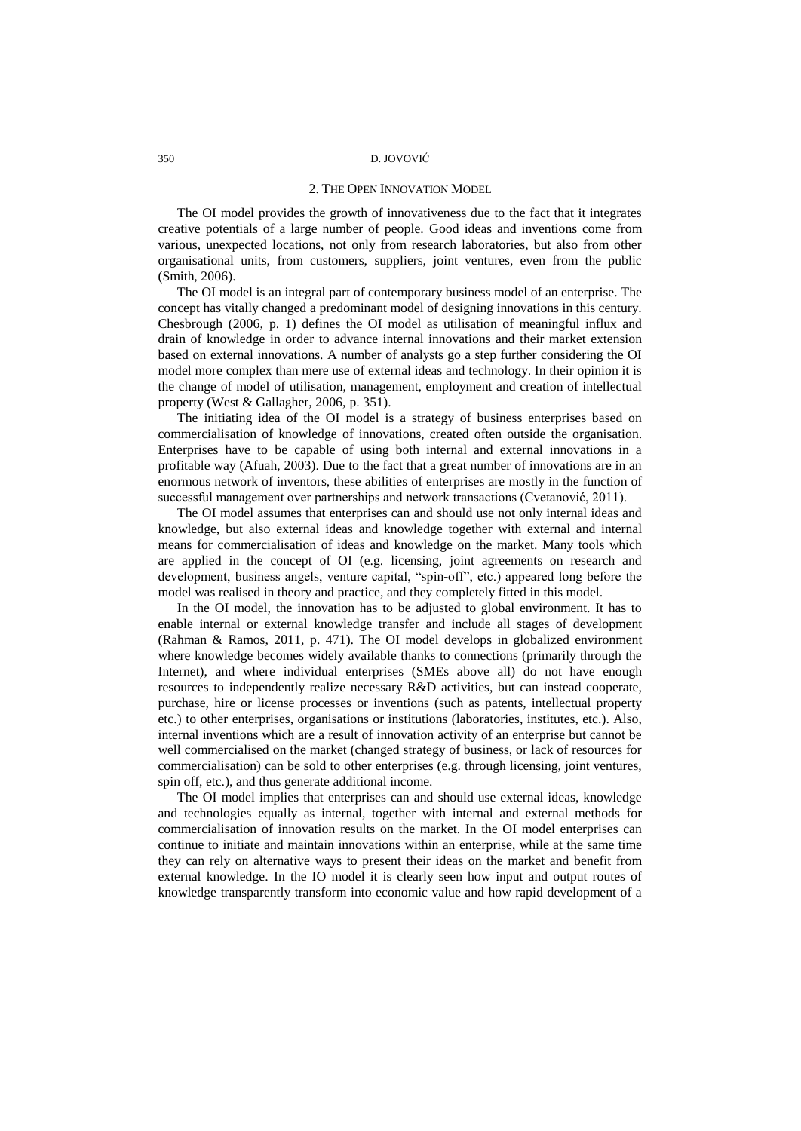### 350 D. JOVOVIĆ

#### 2. THE OPEN INNOVATION MODEL

The OI model provides the growth of innovativeness due to the fact that it integrates creative potentials of a large number of people. Good ideas and inventions come from various, unexpected locations, not only from research laboratories, but also from other organisational units, from customers, suppliers, joint ventures, even from the public (Smith, 2006).

The OI model is an integral part of contemporary business model of an enterprise. The concept has vitally changed a predominant model of designing innovations in this century. Chesbrough (2006, p. 1) defines the OI model as utilisation of meaningful influx and drain of knowledge in order to advance internal innovations and their market extension based on external innovations. A number of analysts go a step further considering the OI model more complex than mere use of external ideas and technology. In their opinion it is the change of model of utilisation, management, employment and creation of intellectual property (West & Gallagher, 2006, p. 351).

The initiating idea of the OI model is a strategy of business enterprises based on commercialisation of knowledge of innovations, created often outside the organisation. Enterprises have to be capable of using both internal and external innovations in a profitable way (Afuah, 2003). Due to the fact that a great number of innovations are in an enormous network of inventors, these abilities of enterprises are mostly in the function of successful management over partnerships and network transactions (Cvetanović, 2011).

The OI model assumes that enterprises can and should use not only internal ideas and knowledge, but also external ideas and knowledge together with external and internal means for commercialisation of ideas and knowledge on the market. Many tools which are applied in the concept of OI (e.g. licensing, joint agreements on research and development, business angels, venture capital, "spin-off", etc.) appeared long before the model was realised in theory and practice, and they completely fitted in this model.

In the OI model, the innovation has to be adjusted to global environment. It has to enable internal or external knowledge transfer and include all stages of development (Rahman & Ramos, 2011, p. 471). The OI model develops in globalized environment where knowledge becomes widely available thanks to connections (primarily through the Internet), and where individual enterprises (SMEs above all) do not have enough resources to independently realize necessary R&D activities, but can instead cooperate, purchase, hire or license processes or inventions (such as patents, intellectual property etc.) to other enterprises, organisations or institutions (laboratories, institutes, etc.). Also, internal inventions which are a result of innovation activity of an enterprise but cannot be well commercialised on the market (changed strategy of business, or lack of resources for commercialisation) can be sold to other enterprises (e.g. through licensing, joint ventures, spin off, etc.), and thus generate additional income.

The OI model implies that enterprises can and should use external ideas, knowledge and technologies equally as internal, together with internal and external methods for commercialisation of innovation results on the market. In the OI model enterprises can continue to initiate and maintain innovations within an enterprise, while at the same time they can rely on alternative ways to present their ideas on the market and benefit from external knowledge. In the IO model it is clearly seen how input and output routes of knowledge transparently transform into economic value and how rapid development of a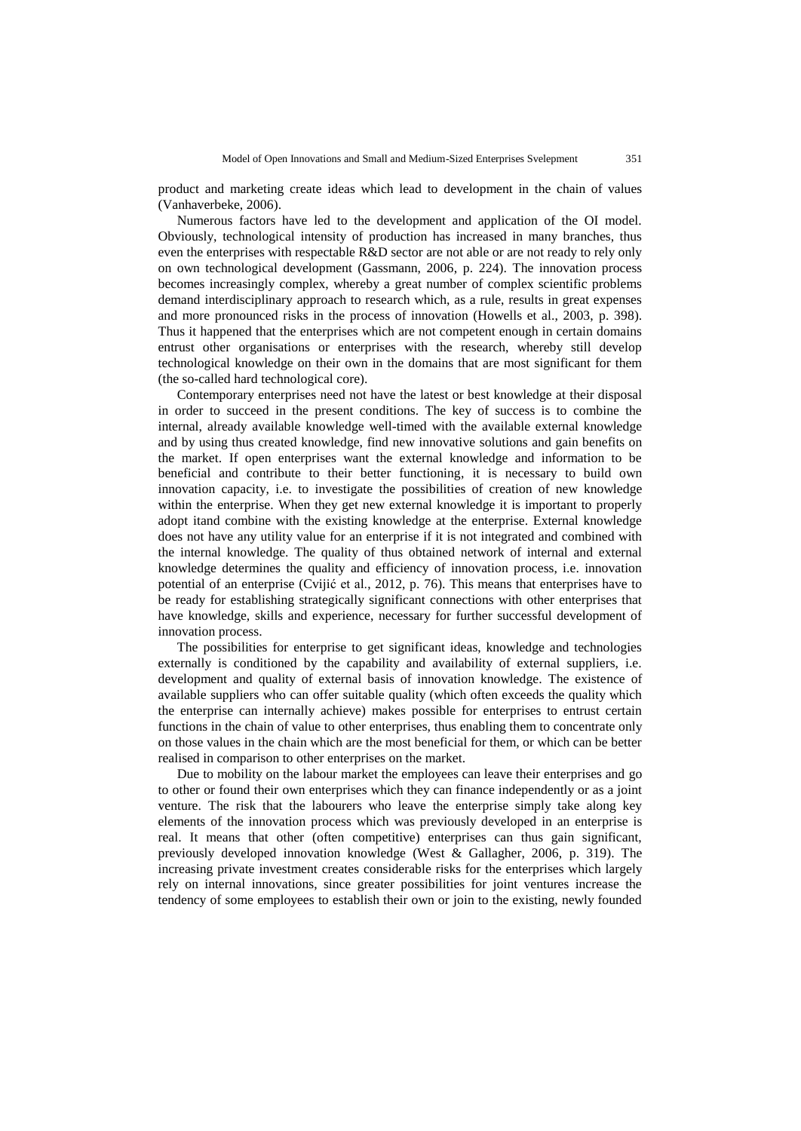product and marketing create ideas which lead to development in the chain of values (Vanhaverbeke, 2006).

Numerous factors have led to the development and application of the OI model. Obviously, technological intensity of production has increased in many branches, thus even the enterprises with respectable R&D sector are not able or are not ready to rely only on own technological development (Gassmann, 2006, p. 224). The innovation process becomes increasingly complex, whereby a great number of complex scientific problems demand interdisciplinary approach to research which, as a rule, results in great expenses and more pronounced risks in the process of innovation (Howells et al., 2003, p. 398). Thus it happened that the enterprises which are not competent enough in certain domains entrust other organisations or enterprises with the research, whereby still develop technological knowledge on their own in the domains that are most significant for them (the so-called hard technological core).

Contemporary enterprises need not have the latest or best knowledge at their disposal in order to succeed in the present conditions. The key of success is to combine the internal, already available knowledge well-timed with the available external knowledge and by using thus created knowledge, find new innovative solutions and gain benefits on the market. If open enterprises want the external knowledge and information to be beneficial and contribute to their better functioning, it is necessary to build own innovation capacity, i.e. to investigate the possibilities of creation of new knowledge within the enterprise. When they get new external knowledge it is important to properly adopt itand combine with the existing knowledge at the enterprise. External knowledge does not have any utility value for an enterprise if it is not integrated and combined with the internal knowledge. The quality of thus obtained network of internal and external knowledge determines the quality and efficiency of innovation process, i.e. innovation potential of an enterprise (Cvijić et al., 2012, p. 76). This means that enterprises have to be ready for establishing strategically significant connections with other enterprises that have knowledge, skills and experience, necessary for further successful development of innovation process.

The possibilities for enterprise to get significant ideas, knowledge and technologies externally is conditioned by the capability and availability of external suppliers, i.e. development and quality of external basis of innovation knowledge. The existence of available suppliers who can offer suitable quality (which often exceeds the quality which the enterprise can internally achieve) makes possible for enterprises to entrust certain functions in the chain of value to other enterprises, thus enabling them to concentrate only on those values in the chain which are the most beneficial for them, or which can be better realised in comparison to other enterprises on the market.

Due to mobility on the labour market the employees can leave their enterprises and go to other or found their own enterprises which they can finance independently or as a joint venture. The risk that the labourers who leave the enterprise simply take along key elements of the innovation process which was previously developed in an enterprise is real. It means that other (often competitive) enterprises can thus gain significant, previously developed innovation knowledge (West & Gallagher, 2006, p. 319). The increasing private investment creates considerable risks for the enterprises which largely rely on internal innovations, since greater possibilities for joint ventures increase the tendency of some employees to establish their own or join to the existing, newly founded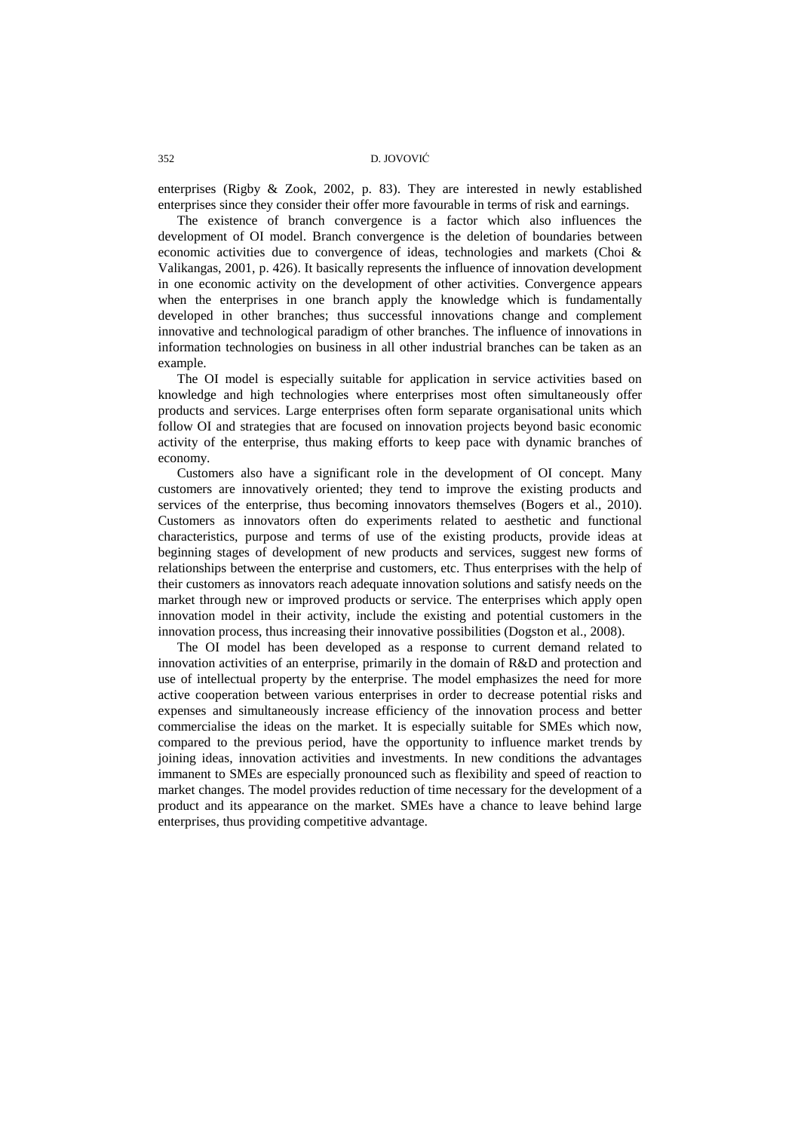enterprises (Rigby & Zook, 2002, p. 83). They are interested in newly established enterprises since they consider their offer more favourable in terms of risk and earnings.

The existence of branch convergence is a factor which also influences the development of OI model. Branch convergence is the deletion of boundaries between economic activities due to convergence of ideas, technologies and markets (Choi & Valikangas, 2001, p. 426). It basically represents the influence of innovation development in one economic activity on the development of other activities. Convergence appears when the enterprises in one branch apply the knowledge which is fundamentally developed in other branches; thus successful innovations change and complement innovative and technological paradigm of other branches. The influence of innovations in information technologies on business in all other industrial branches can be taken as an example.

The OI model is especially suitable for application in service activities based on knowledge and high technologies where enterprises most often simultaneously offer products and services. Large enterprises often form separate organisational units which follow OI and strategies that are focused on innovation projects beyond basic economic activity of the enterprise, thus making efforts to keep pace with dynamic branches of economy.

Customers also have a significant role in the development of OI concept. Many customers are innovatively oriented; they tend to improve the existing products and services of the enterprise, thus becoming innovators themselves (Bogers et al., 2010). Customers as innovators often do experiments related to aesthetic and functional characteristics, purpose and terms of use of the existing products, provide ideas at beginning stages of development of new products and services, suggest new forms of relationships between the enterprise and customers, etc. Thus enterprises with the help of their customers as innovators reach adequate innovation solutions and satisfy needs on the market through new or improved products or service. The enterprises which apply open innovation model in their activity, include the existing and potential customers in the innovation process, thus increasing their innovative possibilities (Dogston et al., 2008).

The OI model has been developed as a response to current demand related to innovation activities of an enterprise, primarily in the domain of R&D and protection and use of intellectual property by the enterprise. The model emphasizes the need for more active cooperation between various enterprises in order to decrease potential risks and expenses and simultaneously increase efficiency of the innovation process and better commercialise the ideas on the market. It is especially suitable for SMEs which now, compared to the previous period, have the opportunity to influence market trends by joining ideas, innovation activities and investments. In new conditions the advantages immanent to SMEs are especially pronounced such as flexibility and speed of reaction to market changes. The model provides reduction of time necessary for the development of a product and its appearance on the market. SMEs have a chance to leave behind large enterprises, thus providing competitive advantage.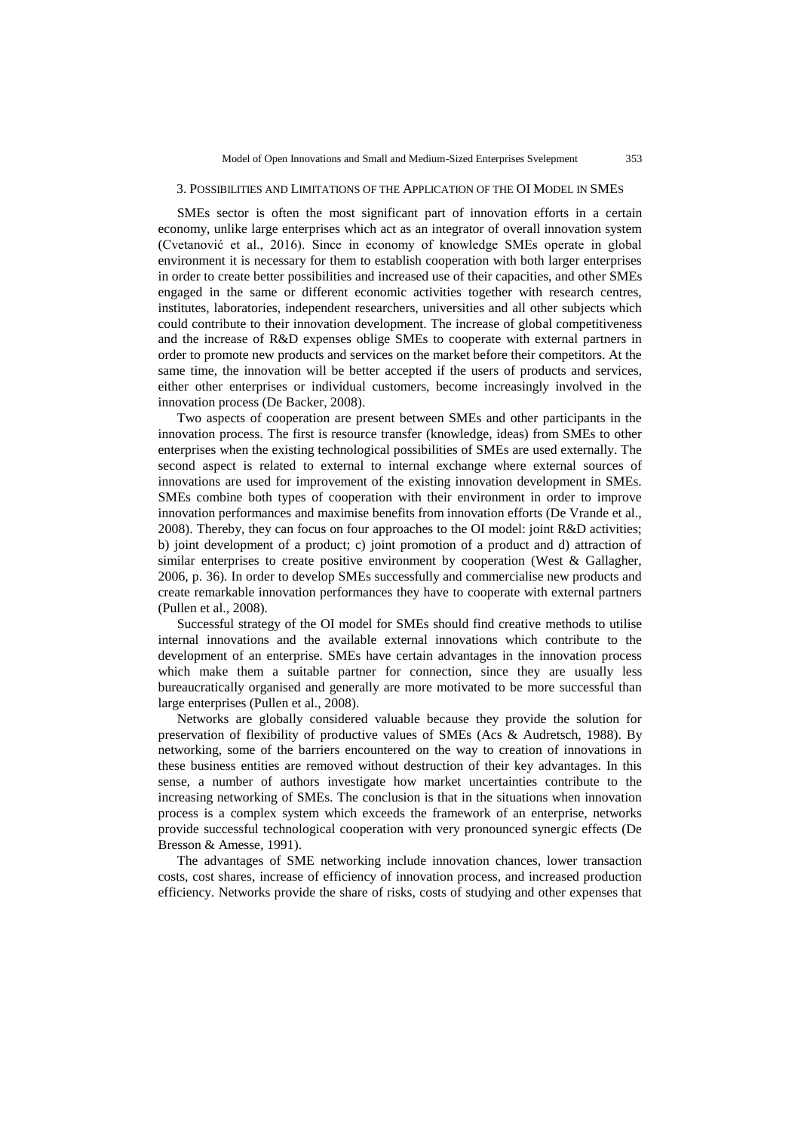## 3. POSSIBILITIES AND LIMITATIONS OF THE APPLICATION OF THE OI MODEL IN SMES

SMEs sector is often the most significant part of innovation efforts in a certain economy, unlike large enterprises which act as an integrator of overall innovation system (Cvetanović et al., 2016). Since in economy of knowledge SMEs operate in global environment it is necessary for them to establish cooperation with both larger enterprises in order to create better possibilities and increased use of their capacities, and other SMEs engaged in the same or different economic activities together with research centres, institutes, laboratories, independent researchers, universities and all other subjects which could contribute to their innovation development. The increase of global competitiveness and the increase of R&D expenses oblige SMEs to cooperate with external partners in order to promote new products and services on the market before their competitors. At the same time, the innovation will be better accepted if the users of products and services, either other enterprises or individual customers, become increasingly involved in the innovation process (De Backer, 2008).

Two aspects of cooperation are present between SMEs and other participants in the innovation process. The first is resource transfer (knowledge, ideas) from SMEs to other enterprises when the existing technological possibilities of SMEs are used externally. The second aspect is related to external to internal exchange where external sources of innovations are used for improvement of the existing innovation development in SMEs. SMEs combine both types of cooperation with their environment in order to improve innovation performances and maximise benefits from innovation efforts (De Vrande et al., 2008). Thereby, they can focus on four approaches to the OI model: joint R&D activities; b) joint development of a product; c) joint promotion of a product and d) attraction of similar enterprises to create positive environment by cooperation (West & Gallagher, 2006, p. 36). In order to develop SMEs successfully and commercialise new products and create remarkable innovation performances they have to cooperate with external partners (Pullen et al., 2008).

Successful strategy of the OI model for SMEs should find creative methods to utilise internal innovations and the available external innovations which contribute to the development of an enterprise. SMEs have certain advantages in the innovation process which make them a suitable partner for connection, since they are usually less bureaucratically organised and generally are more motivated to be more successful than large enterprises (Pullen et al., 2008).

Networks are globally considered valuable because they provide the solution for preservation of flexibility of productive values of SMEs (Acs & Audretsch, 1988). By networking, some of the barriers encountered on the way to creation of innovations in these business entities are removed without destruction of their key advantages. In this sense, a number of authors investigate how market uncertainties contribute to the increasing networking of SMEs. The conclusion is that in the situations when innovation process is a complex system which exceeds the framework of an enterprise, networks provide successful technological cooperation with very pronounced synergic effects (De Bresson & Amesse, 1991).

The advantages of SME networking include innovation chances, lower transaction costs, cost shares, increase of efficiency of innovation process, and increased production efficiency. Networks provide the share of risks, costs of studying and other expenses that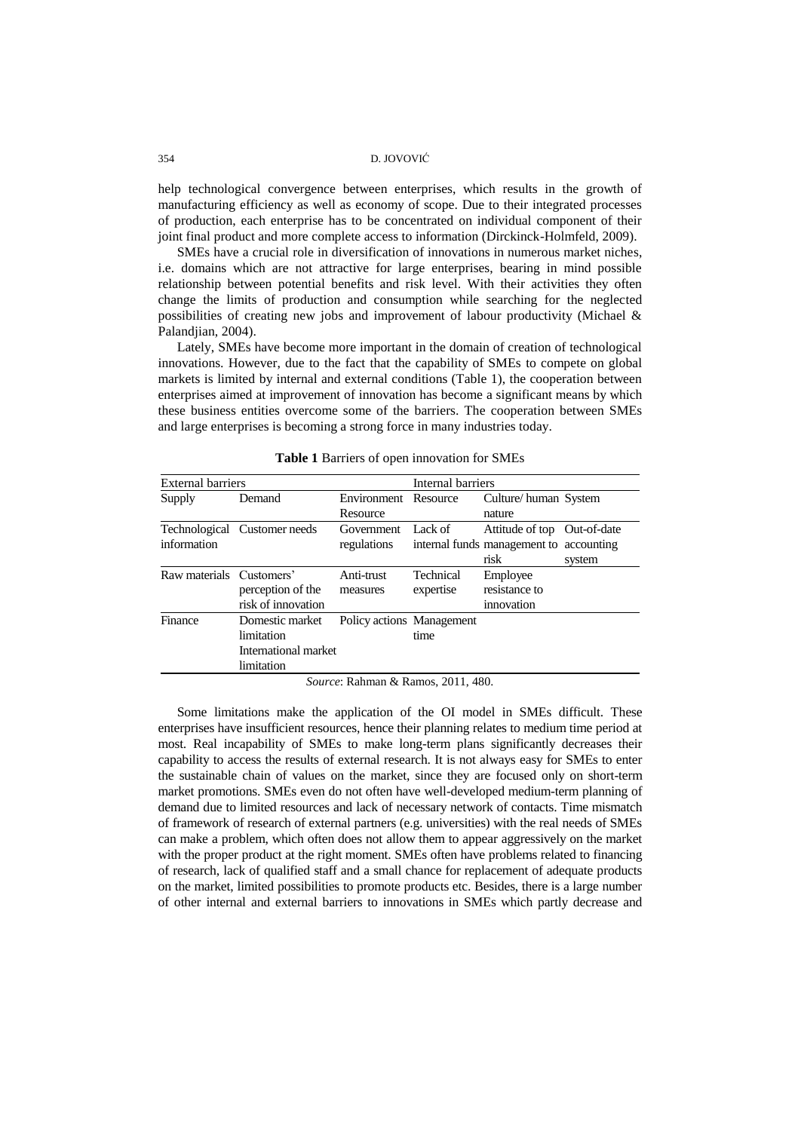#### 354 D. JOVOVIĆ

help technological convergence between enterprises, which results in the growth of manufacturing efficiency as well as economy of scope. Due to their integrated processes of production, each enterprise has to be concentrated on individual component of their joint final product and more complete access to information (Dirckinck-Holmfeld, 2009).

SMEs have a crucial role in diversification of innovations in numerous market niches, i.e. domains which are not attractive for large enterprises, bearing in mind possible relationship between potential benefits and risk level. With their activities they often change the limits of production and consumption while searching for the neglected possibilities of creating new jobs and improvement of labour productivity (Michael & Palandjian, 2004).

Lately, SMEs have become more important in the domain of creation of technological innovations. However, due to the fact that the capability of SMEs to compete on global markets is limited by internal and external conditions (Table 1), the cooperation between enterprises aimed at improvement of innovation has become a significant means by which these business entities overcome some of the barriers. The cooperation between SMEs and large enterprises is becoming a strong force in many industries today.

| <b>External barriers</b> |                              |                           | Internal barriers |                                         |        |
|--------------------------|------------------------------|---------------------------|-------------------|-----------------------------------------|--------|
| Supply                   | Demand                       | Environment               | Resource          | Culture/human System                    |        |
|                          |                              | Resource                  |                   | nature                                  |        |
|                          | Technological Customer needs | Government                | Lack of           | Attitude of top Out-of-date             |        |
| information              |                              | regulations               |                   | internal funds management to accounting |        |
|                          |                              |                           |                   | risk                                    | system |
| Raw materials Customers' |                              | Anti-trust                | Technical         | Employee                                |        |
|                          | perception of the            | measures                  | expertise         | resistance to                           |        |
|                          | risk of innovation           |                           |                   | innovation                              |        |
| Finance                  | Domestic market              | Policy actions Management |                   |                                         |        |
|                          | limitation                   |                           | time              |                                         |        |
|                          | International market         |                           |                   |                                         |        |
|                          | limitation                   |                           |                   |                                         |        |

**Table 1** Barriers of open innovation for SMEs

*Source*: Rahman & Ramos, 2011, 480.

Some limitations make the application of the OI model in SMEs difficult. These enterprises have insufficient resources, hence their planning relates to medium time period at most. Real incapability of SMEs to make long-term plans significantly decreases their capability to access the results of external research. It is not always easy for SMEs to enter the sustainable chain of values on the market, since they are focused only on short-term market promotions. SMEs even do not often have well-developed medium-term planning of demand due to limited resources and lack of necessary network of contacts. Time mismatch of framework of research of external partners (e.g. universities) with the real needs of SMEs can make a problem, which often does not allow them to appear aggressively on the market with the proper product at the right moment. SMEs often have problems related to financing of research, lack of qualified staff and a small chance for replacement of adequate products on the market, limited possibilities to promote products etc. Besides, there is a large number of other internal and external barriers to innovations in SMEs which partly decrease and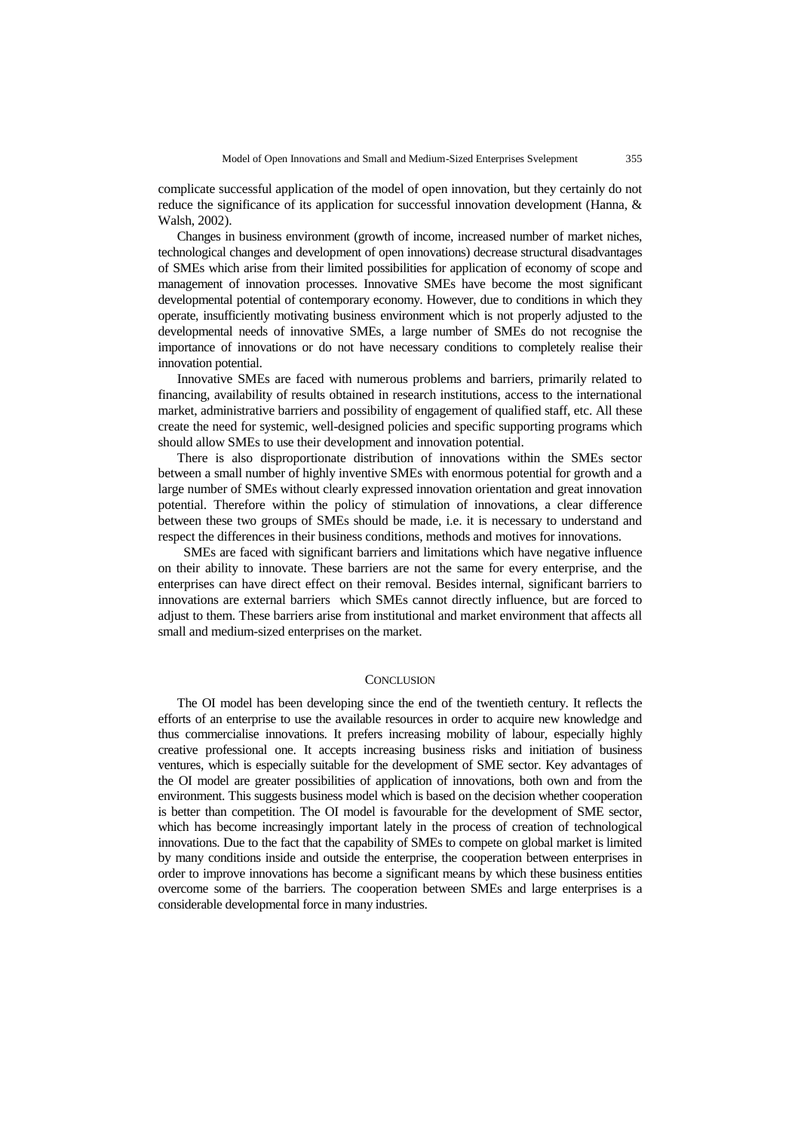complicate successful application of the model of open innovation, but they certainly do not reduce the significance of its application for successful innovation development (Hanna, & Walsh, 2002).

Changes in business environment (growth of income, increased number of market niches, technological changes and development of open innovations) decrease structural disadvantages of SMEs which arise from their limited possibilities for application of economy of scope and management of innovation processes. Innovative SMEs have become the most significant developmental potential of contemporary economy. However, due to conditions in which they operate, insufficiently motivating business environment which is not properly adjusted to the developmental needs of innovative SMEs, a large number of SMEs do not recognise the importance of innovations or do not have necessary conditions to completely realise their innovation potential.

Innovative SMEs are faced with numerous problems and barriers, primarily related to financing, availability of results obtained in research institutions, access to the international market, administrative barriers and possibility of engagement of qualified staff, etc. All these create the need for systemic, well-designed policies and specific supporting programs which should allow SMEs to use their development and innovation potential.

There is also disproportionate distribution of innovations within the SMEs sector between a small number of highly inventive SMEs with enormous potential for growth and a large number of SMEs without clearly expressed innovation orientation and great innovation potential. Therefore within the policy of stimulation of innovations, a clear difference between these two groups of SMEs should be made, i.e. it is necessary to understand and respect the differences in their business conditions, methods and motives for innovations.

 SMEs are faced with significant barriers and limitations which have negative influence on their ability to innovate. These barriers are not the same for every enterprise, and the enterprises can have direct effect on their removal. Besides internal, significant barriers to innovations are external barriers which SMEs cannot directly influence, but are forced to adjust to them. These barriers arise from institutional and market environment that affects all small and medium-sized enterprises on the market.

#### **CONCLUSION**

The OI model has been developing since the end of the twentieth century. It reflects the efforts of an enterprise to use the available resources in order to acquire new knowledge and thus commercialise innovations. It prefers increasing mobility of labour, especially highly creative professional one. It accepts increasing business risks and initiation of business ventures, which is especially suitable for the development of SME sector. Key advantages of the OI model are greater possibilities of application of innovations, both own and from the environment. This suggests business model which is based on the decision whether cooperation is better than competition. The OI model is favourable for the development of SME sector, which has become increasingly important lately in the process of creation of technological innovations. Due to the fact that the capability of SMEs to compete on global market is limited by many conditions inside and outside the enterprise, the cooperation between enterprises in order to improve innovations has become a significant means by which these business entities overcome some of the barriers. The cooperation between SMEs and large enterprises is a considerable developmental force in many industries.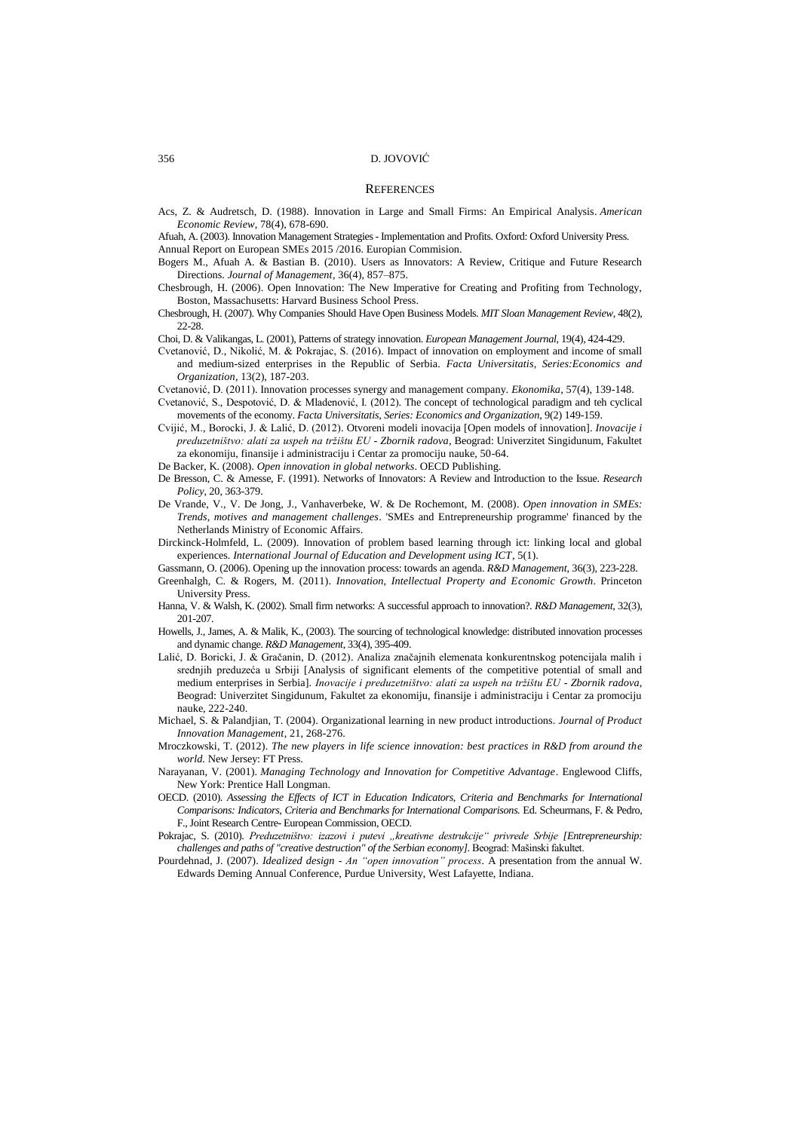#### **REFERENCES**

Acs, Z. & Audretsch, D. (1988). [Innovation in Large and Small Firms: An Empirical Analysis.](https://ideas.repec.org/a/aea/aecrev/v78y1988i4p678-90.html) *[American](https://ideas.repec.org/s/aea/aecrev.html)  [Economic Review](https://ideas.repec.org/s/aea/aecrev.html)*, 78(4), 678-690.

Afuah, A. (2003). Innovation Management Strategies - Implementation and Profits. Oxford: Oxford University Press.

Annual Report on European SMEs 2015 /2016. Europian Commision.

- Bogers M., Afuah A. & Bastian B. (2010). Users as Innovators: A Review, Critique and Future Research Directions. *Journal of Management,* 36(4), 857–875.
- Chesbrough, H. (2006). Open Innovation: The New Imperative for Creating and Profiting from Technology, Boston, Massachusetts: Harvard Business School Press.
- Chesbrough, H. (2007). Why Companies Should Have Open Business Models. *MIT Sloan Management Review*, 48(2), 22-28

Choi, D. & Valikangas, L. (2001), Patterns of strategy innovation. *European Management Journal*, 19(4), 424-429.

- Cvetanović, D., Nikolić, M. & Pokrajac, S. (2016). Impact of innovation on employment and income of small and medium-sized enterprises in the Republic of Serbia. *Facta Universitatis, Series:Economics and Organization*, 13(2), 187-203.
- Cvetanović, D. (2011). Innovation processes synergy and management company. *Ekonomika*, 57(4), 139-148.
- Cvetanović, S., Despotović, D. & Mladenović, I. (2012). The concept of technological paradigm and teh cyclical movements of the economy. *Facta Universitatis, Series: Economics and Organization*, 9(2) 149-159.
- Cvijić, M., Borocki, J. & Lalić, D. (2012). Otvoreni modeli inovacija [Open models of innovation]. *Inovacije i preduzetništvo: alati za uspeh na tržištu EU - Zbornik radova*, Beograd: Univerzitet Singidunum, Fakultet za ekonomiju, finansije i administraciju i Centar za promociju nauke, 50-64.
- De Backer, K. (2008). *Open innovation in global networks*. OECD Publishing.
- De Bresson, C. & Amesse, F. (1991). Networks of Innovators: A Review and Introduction to the Issue. *Research Policy*, 20, 363-379.
- De Vrande, V., V. De Jong, J., Vanhaverbeke, W. & De Rochemont, M. (2008). *Open innovation in SMEs: Trends, motives and management challenges*. 'SMEs and Entrepreneurship programme' financed by the Netherlands Ministry of Economic Affairs.
- Dirckinck-Holmfeld, L. (2009). Innovation of problem based learning through ict: linking local and global experiences. *International Journal of Education and Development using ICT*, 5(1).
- Gassmann, O. (2006). Opening up the innovation process: towards an agenda. *R&D Management*, 36(3), 223-228.
- Greenhalgh, C. & Rogers, M. (2011). *Innovation, Intellectual Property and Economic Growth*. Princeton University Press.
- Hanna, V. & Walsh, K. (2002). Small firm networks: A successful approach to innovation?. *R&D Management*, 32(3), 201-207.
- Howells, J., James, A. & Malik, K., (2003). The sourcing of technological knowledge: distributed innovation processes and dynamic change. *R&D Management*, 33(4), 395-409.
- Lalić, D. Boricki, J. & Gračanin, D. (2012). Analiza značajnih elemenata konkurentnskog potencijala malih i srednjih preduzeća u Srbiji [Analysis of significant elements of the competitive potential of small and medium enterprises in Serbia]. *Inovacije i preduzetništvo: alati za uspeh na tržištu EU - Zbornik radova*, Beograd: Univerzitet Singidunum, Fakultet za ekonomiju, finansije i administraciju i Centar za promociju nauke, 222-240.
- Michael, S. & Palandjian, T. (2004). Organizational learning in new product introductions. *Journal of Product Innovation Management*, 21, 268-276.
- Mroczkowski, T. (2012). *The new players in life science innovation: best practices in R&D from around the world.* New Jersey: FT Press.
- Narayanan, V. (2001). *Managing Technology and Innovation for Competitive Advantage*. Englewood Cliffs, New York: Prentice Hall Longman.
- [OECD.](http://www.google.rs/search?tbo=p&tbm=bks&q=inauthor:%22OECD%22) (2010). *Assessing the Effects of ICT in Education Indicators, Criteria and Benchmarks for International Comparisons: Indicators, Criteria and Benchmarks for International Comparisons.* Ed. Scheurmans, F. & Pedro, F., Joint Research Centre- [European Commission,](http://www.google.rs/search?tbo=p&tbm=bks&q=inauthor:%22Joint+Research+Centre-+European+Commission%22) [OECD.](http://www.google.rs/search?tbo=p&tbm=bks&q=inauthor:%22OECD%22)
- Pokrajac, S. (2010). *Preduzetništvo: izazovi i putevi "kreativne destrukcije" privrede Srbije [Entrepreneurship: challenges and paths of "creative destruction" of the Serbian economy]*. Beograd: Mašinski fakultet.
- Pourdehnad, J. (2007). *Idealized design - An "open innovation" process.* A presentation from the annual W. Edwards Deming Annual Conference, Purdue University, West Lafayette, Indiana.